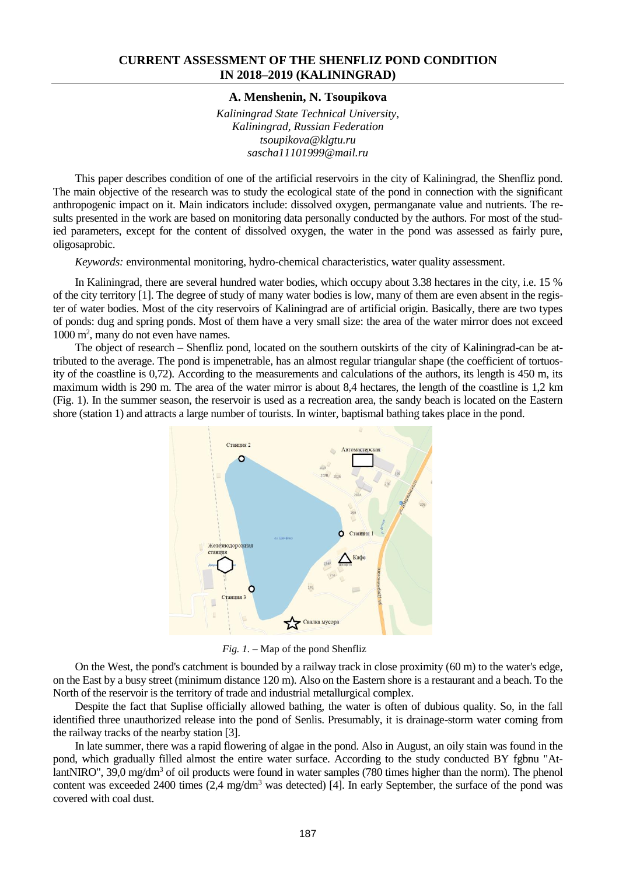### **CURRENT ASSESSMENT OF THE SHENFLIZ POND CONDITION IN 2018–2019 (KALININGRAD)**

### **A. Menshenin, N. Tsoupikova**

*Kaliningrad State Technical University, Kaliningrad, Russian Federation tsoupikova@klgtu.ru sascha11101999@mail.ru*

This paper describes condition of one of the artificial reservoirs in the city of Kaliningrad, the Shenfliz pond. The main objective of the research was to study the ecological state of the pond in connection with the significant anthropogenic impact on it. Main indicators include: dissolved oxygen, permanganate value and nutrients. The results presented in the work are based on monitoring data personally conducted by the authors. For most of the studied parameters, except for the content of dissolved oxygen, the water in the pond was assessed as fairly pure, oligosaprobic.

*Keywords:* environmental monitoring, hydro-chemical characteristics, water quality assessment.

In Kaliningrad, there are several hundred water bodies, which occupy about 3.38 hectares in the city, i.e. 15 % of the city territory [1]. The degree of study of many water bodies is low, many of them are even absent in the register of water bodies. Most of the city reservoirs of Kaliningrad are of artificial origin. Basically, there are two types of ponds: dug and spring ponds. Most of them have a very small size: the area of the water mirror does not exceed 1000 m<sup>2</sup>, many do not even have names.

The object of research – Shenfliz pond, located on the southern outskirts of the city of Kaliningrad-can be attributed to the average. The pond is impenetrable, has an almost regular triangular shape (the coefficient of tortuosity of the coastline is 0,72). According to the measurements and calculations of the authors, its length is 450 m, its maximum width is 290 m. The area of the water mirror is about 8,4 hectares, the length of the coastline is 1,2 km (Fig. 1). In the summer season, the reservoir is used as a recreation area, the sandy beach is located on the Eastern shore (station 1) and attracts a large number of tourists. In winter, baptismal bathing takes place in the pond.



*Fig. 1.* – Map of the pond Shenfliz

On the West, the pond's catchment is bounded by a railway track in close proximity (60 m) to the water's edge, on the East by a busy street (minimum distance 120 m). Also on the Eastern shore is a restaurant and a beach. To the North of the reservoir is the territory of trade and industrial metallurgical complex.

Despite the fact that Suplise officially allowed bathing, the water is often of dubious quality. So, in the fall identified three unauthorized release into the pond of Senlis. Presumably, it is drainage-storm water coming from the railway tracks of the nearby station [3].

In late summer, there was a rapid flowering of algae in the pond. Also in August, an oily stain was found in the pond, which gradually filled almost the entire water surface. According to the study conducted BY fgbnu "AtlantNIRO", 39,0 mg/dm<sup>3</sup> of oil products were found in water samples (780 times higher than the norm). The phenol content was exceeded 2400 times (2,4 mg/dm<sup>3</sup> was detected) [4]. In early September, the surface of the pond was covered with coal dust.